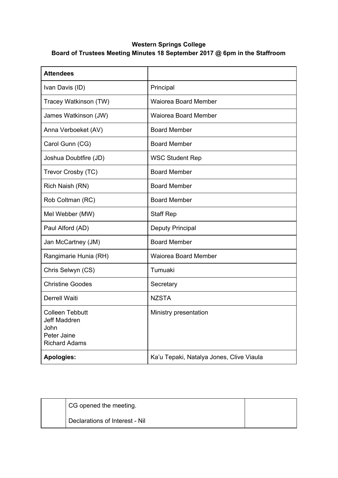## **Western Springs College Board of Trustees Meeting Minutes 18 September 2017 @ 6pm in the Staffroom**

| <b>Attendees</b>                                                                      |                                          |
|---------------------------------------------------------------------------------------|------------------------------------------|
| Ivan Davis (ID)                                                                       | Principal                                |
| Tracey Watkinson (TW)                                                                 | <b>Waiorea Board Member</b>              |
| James Watkinson (JW)                                                                  | <b>Waiorea Board Member</b>              |
| Anna Verboeket (AV)                                                                   | <b>Board Member</b>                      |
| Carol Gunn (CG)                                                                       | <b>Board Member</b>                      |
| Joshua Doubtfire (JD)                                                                 | <b>WSC Student Rep</b>                   |
| Trevor Crosby (TC)                                                                    | <b>Board Member</b>                      |
| Rich Naish (RN)                                                                       | <b>Board Member</b>                      |
| Rob Coltman (RC)                                                                      | <b>Board Member</b>                      |
| Mel Webber (MW)                                                                       | <b>Staff Rep</b>                         |
| Paul Alford (AD)                                                                      | Deputy Principal                         |
| Jan McCartney (JM)                                                                    | <b>Board Member</b>                      |
| Rangimarie Hunia (RH)                                                                 | <b>Waiorea Board Member</b>              |
| Chris Selwyn (CS)                                                                     | Tumuaki                                  |
| <b>Christine Goodes</b>                                                               | Secretary                                |
| Derrell Waiti                                                                         | <b>NZSTA</b>                             |
| <b>Colleen Tebbutt</b><br>Jeff Maddren<br>John<br>Peter Jaine<br><b>Richard Adams</b> | Ministry presentation                    |
| <b>Apologies:</b>                                                                     | Ka'u Tepaki, Natalya Jones, Clive Viaula |

| CG opened the meeting.         |  |
|--------------------------------|--|
| Declarations of Interest - Nil |  |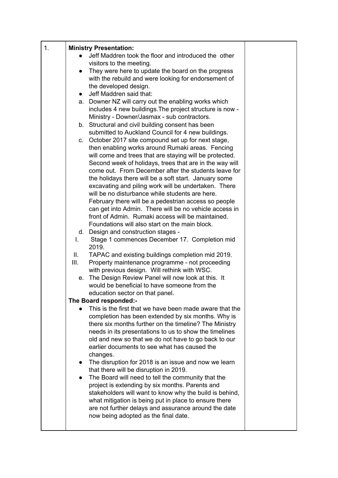| 1. | <b>Ministry Presentation:</b>                            |                                                                                                            |  |
|----|----------------------------------------------------------|------------------------------------------------------------------------------------------------------------|--|
|    |                                                          | Jeff Maddren took the floor and introduced the other                                                       |  |
|    |                                                          | visitors to the meeting.                                                                                   |  |
|    | $\bullet$                                                | They were here to update the board on the progress                                                         |  |
|    |                                                          | with the rebuild and were looking for endorsement of                                                       |  |
|    |                                                          | the developed design.                                                                                      |  |
|    | $\bullet$                                                | Jeff Maddren said that:                                                                                    |  |
|    |                                                          | a. Downer NZ will carry out the enabling works which                                                       |  |
|    |                                                          | includes 4 new buildings. The project structure is now -                                                   |  |
|    |                                                          | Ministry - Downer/Jasmax - sub contractors.                                                                |  |
|    |                                                          | b. Structural and civil building consent has been                                                          |  |
|    |                                                          | submitted to Auckland Council for 4 new buildings.<br>c. October 2017 site compound set up for next stage, |  |
|    |                                                          | then enabling works around Rumaki areas. Fencing                                                           |  |
|    |                                                          | will come and trees that are staying will be protected.                                                    |  |
|    |                                                          | Second week of holidays, trees that are in the way will                                                    |  |
|    |                                                          | come out. From December after the students leave for                                                       |  |
|    |                                                          | the holidays there will be a soft start. January some                                                      |  |
|    |                                                          | excavating and piling work will be undertaken. There                                                       |  |
|    |                                                          | will be no disturbance while students are here.                                                            |  |
|    |                                                          | February there will be a pedestrian access so people                                                       |  |
|    |                                                          | can get into Admin. There will be no vehicle access in                                                     |  |
|    |                                                          | front of Admin. Rumaki access will be maintained.                                                          |  |
|    |                                                          | Foundations will also start on the main block.                                                             |  |
|    | I.                                                       | d. Design and construction stages -<br>Stage 1 commences December 17. Completion mid                       |  |
|    | 2019.                                                    |                                                                                                            |  |
|    | Ш.                                                       | TAPAC and existing buildings completion mid 2019.                                                          |  |
|    | III.                                                     | Property maintenance programme - not proceeding                                                            |  |
|    |                                                          | with previous design. Will rethink with WSC.                                                               |  |
|    |                                                          | e. The Design Review Panel will now look at this. It                                                       |  |
|    |                                                          | would be beneficial to have someone from the                                                               |  |
|    | education sector on that panel.<br>The Board responded:- |                                                                                                            |  |
|    |                                                          | This is the first that we have been made aware that the                                                    |  |
|    |                                                          | completion has been extended by six months. Why is                                                         |  |
|    |                                                          | there six months further on the timeline? The Ministry                                                     |  |
|    |                                                          | needs in its presentations to us to show the timelines                                                     |  |
|    |                                                          | old and new so that we do not have to go back to our                                                       |  |
|    |                                                          | earlier documents to see what has caused the                                                               |  |
|    | changes.                                                 |                                                                                                            |  |
|    | $\bullet$                                                | The disruption for 2018 is an issue and now we learn                                                       |  |
|    |                                                          | that there will be disruption in 2019.                                                                     |  |
|    | $\bullet$                                                | The Board will need to tell the community that the<br>project is extending by six months. Parents and      |  |
|    |                                                          | stakeholders will want to know why the build is behind,                                                    |  |
|    |                                                          | what mitigation is being put in place to ensure there                                                      |  |
|    |                                                          | are not further delays and assurance around the date                                                       |  |
|    |                                                          | now being adopted as the final date.                                                                       |  |
|    |                                                          |                                                                                                            |  |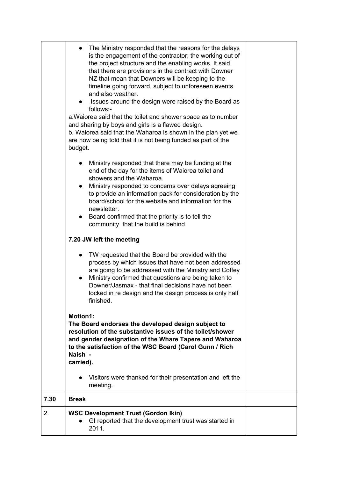|      | The Ministry responded that the reasons for the delays<br>is the engagement of the contractor; the working out of<br>the project structure and the enabling works. It said<br>that there are provisions in the contract with Downer<br>NZ that mean that Downers will be keeping to the<br>timeline going forward, subject to unforeseen events<br>and also weather.<br>Issues around the design were raised by the Board as<br>follows:-<br>a. Waiorea said that the toilet and shower space as to number<br>and sharing by boys and girls is a flawed design.<br>b. Waiorea said that the Waharoa is shown in the plan yet we<br>are now being told that it is not being funded as part of the<br>budget. |  |
|------|-------------------------------------------------------------------------------------------------------------------------------------------------------------------------------------------------------------------------------------------------------------------------------------------------------------------------------------------------------------------------------------------------------------------------------------------------------------------------------------------------------------------------------------------------------------------------------------------------------------------------------------------------------------------------------------------------------------|--|
|      | Ministry responded that there may be funding at the<br>end of the day for the items of Waiorea toilet and<br>showers and the Waharoa.<br>Ministry responded to concerns over delays agreeing<br>$\bullet$<br>to provide an information pack for consideration by the<br>board/school for the website and information for the<br>newsletter.<br>Board confirmed that the priority is to tell the<br>$\bullet$<br>community that the build is behind                                                                                                                                                                                                                                                          |  |
|      | 7.20 JW left the meeting                                                                                                                                                                                                                                                                                                                                                                                                                                                                                                                                                                                                                                                                                    |  |
|      | TW requested that the Board be provided with the<br>process by which issues that have not been addressed<br>are going to be addressed with the Ministry and Coffey<br>Ministry confirmed that questions are being taken to<br>Downer/Jasmax - that final decisions have not been<br>locked in re design and the design process is only half<br>finished.                                                                                                                                                                                                                                                                                                                                                    |  |
|      | <b>Motion1:</b><br>The Board endorses the developed design subject to<br>resolution of the substantive issues of the toilet/shower<br>and gender designation of the Whare Tapere and Waharoa<br>to the satisfaction of the WSC Board (Carol Gunn / Rich<br>Naish -<br>carried).                                                                                                                                                                                                                                                                                                                                                                                                                             |  |
|      | Visitors were thanked for their presentation and left the<br>meeting.                                                                                                                                                                                                                                                                                                                                                                                                                                                                                                                                                                                                                                       |  |
| 7.30 | <b>Break</b>                                                                                                                                                                                                                                                                                                                                                                                                                                                                                                                                                                                                                                                                                                |  |
| 2.   | <b>WSC Development Trust (Gordon Ikin)</b><br>GI reported that the development trust was started in<br>2011.                                                                                                                                                                                                                                                                                                                                                                                                                                                                                                                                                                                                |  |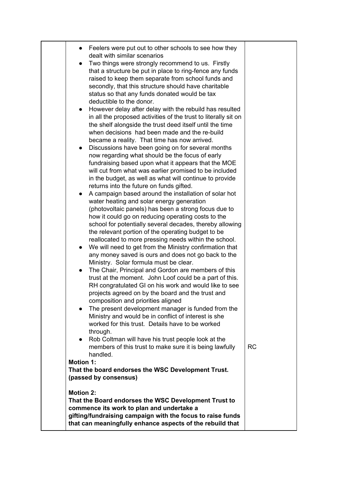| Feelers were put out to other schools to see how they<br>dealt with similar scenarios<br>Two things were strongly recommend to us. Firstly<br>that a structure be put in place to ring-fence any funds<br>raised to keep them separate from school funds and<br>secondly, that this structure should have charitable<br>status so that any funds donated would be tax<br>deductible to the donor.<br>However delay after delay with the rebuild has resulted<br>in all the proposed activities of the trust to literally sit on<br>the shelf alongside the trust deed itself until the time<br>when decisions had been made and the re-build<br>became a reality. That time has now arrived.<br>Discussions have been going on for several months<br>$\bullet$<br>now regarding what should be the focus of early<br>fundraising based upon what it appears that the MOE<br>will cut from what was earlier promised to be included<br>in the budget, as well as what will continue to provide<br>returns into the future on funds gifted. |           |
|-------------------------------------------------------------------------------------------------------------------------------------------------------------------------------------------------------------------------------------------------------------------------------------------------------------------------------------------------------------------------------------------------------------------------------------------------------------------------------------------------------------------------------------------------------------------------------------------------------------------------------------------------------------------------------------------------------------------------------------------------------------------------------------------------------------------------------------------------------------------------------------------------------------------------------------------------------------------------------------------------------------------------------------------|-----------|
| A campaign based around the installation of solar hot<br>water heating and solar energy generation<br>(photovoltaic panels) has been a strong focus due to<br>how it could go on reducing operating costs to the<br>school for potentially several decades, thereby allowing<br>the relevant portion of the operating budget to be<br>reallocated to more pressing needs within the school.<br>We will need to get from the Ministry confirmation that<br>any money saved is ours and does not go back to the<br>Ministry. Solar formula must be clear.<br>The Chair, Principal and Gordon are members of this<br>$\bullet$<br>trust at the moment. John Loof could be a part of this.                                                                                                                                                                                                                                                                                                                                                    |           |
| RH congratulated GI on his work and would like to see<br>projects agreed on by the board and the trust and<br>composition and priorities aligned<br>The present development manager is funded from the<br>$\bullet$<br>Ministry and would be in conflict of interest is she<br>worked for this trust. Details have to be worked<br>through.<br>Rob Coltman will have his trust people look at the<br>$\bullet$<br>members of this trust to make sure it is being lawfully<br>handled.                                                                                                                                                                                                                                                                                                                                                                                                                                                                                                                                                     | <b>RC</b> |
| <b>Motion 1:</b><br>That the board endorses the WSC Development Trust.<br>(passed by consensus)<br><b>Motion 2:</b><br>That the Board endorses the WSC Development Trust to<br>commence its work to plan and undertake a                                                                                                                                                                                                                                                                                                                                                                                                                                                                                                                                                                                                                                                                                                                                                                                                                  |           |
| gifting/fundraising campaign with the focus to raise funds<br>that can meaningfully enhance aspects of the rebuild that                                                                                                                                                                                                                                                                                                                                                                                                                                                                                                                                                                                                                                                                                                                                                                                                                                                                                                                   |           |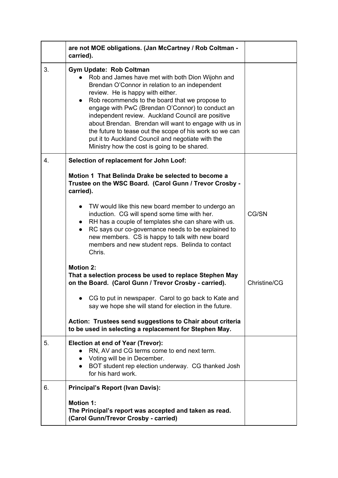|    | are not MOE obligations. (Jan McCartney / Rob Coltman -<br>carried).                                                                                                                                                                                                                                                                                                                                                                                                                                                                                                        |              |
|----|-----------------------------------------------------------------------------------------------------------------------------------------------------------------------------------------------------------------------------------------------------------------------------------------------------------------------------------------------------------------------------------------------------------------------------------------------------------------------------------------------------------------------------------------------------------------------------|--------------|
| 3. | <b>Gym Update: Rob Coltman</b><br>• Rob and James have met with both Dion Wijohn and<br>Brendan O'Connor in relation to an independent<br>review. He is happy with either.<br>Rob recommends to the board that we propose to<br>$\bullet$<br>engage with PwC (Brendan O'Connor) to conduct an<br>independent review. Auckland Council are positive<br>about Brendan. Brendan will want to engage with us in<br>the future to tease out the scope of his work so we can<br>put it to Auckland Council and negotiate with the<br>Ministry how the cost is going to be shared. |              |
| 4. | Selection of replacement for John Loof:                                                                                                                                                                                                                                                                                                                                                                                                                                                                                                                                     |              |
|    | Motion 1 That Belinda Drake be selected to become a<br>Trustee on the WSC Board. (Carol Gunn / Trevor Crosby -<br>carried).                                                                                                                                                                                                                                                                                                                                                                                                                                                 |              |
|    | TW would like this new board member to undergo an<br>induction. CG will spend some time with her.<br>• RH has a couple of templates she can share with us.<br>RC says our co-governance needs to be explained to<br>$\bullet$<br>new members. CS is happy to talk with new board<br>members and new student reps. Belinda to contact<br>Chris.                                                                                                                                                                                                                              | CG/SN        |
|    | <b>Motion 2:</b><br>That a selection process be used to replace Stephen May<br>on the Board. (Carol Gunn / Trevor Crosby - carried).                                                                                                                                                                                                                                                                                                                                                                                                                                        | Christine/CG |
|    | CG to put in newspaper. Carol to go back to Kate and<br>say we hope she will stand for election in the future.                                                                                                                                                                                                                                                                                                                                                                                                                                                              |              |
|    | Action: Trustees send suggestions to Chair about criteria<br>to be used in selecting a replacement for Stephen May.                                                                                                                                                                                                                                                                                                                                                                                                                                                         |              |
| 5. | <b>Election at end of Year (Trevor):</b><br>RN, AV and CG terms come to end next term.<br>• Voting will be in December.<br>BOT student rep election underway. CG thanked Josh<br>$\bullet$<br>for his hard work.                                                                                                                                                                                                                                                                                                                                                            |              |
| 6. | <b>Principal's Report (Ivan Davis):</b>                                                                                                                                                                                                                                                                                                                                                                                                                                                                                                                                     |              |
|    | <b>Motion 1:</b><br>The Principal's report was accepted and taken as read.<br>(Carol Gunn/Trevor Crosby - carried)                                                                                                                                                                                                                                                                                                                                                                                                                                                          |              |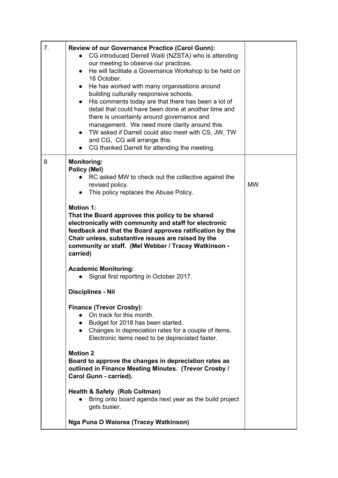| 7. | <b>Review of our Governance Practice (Carol Gunn):</b><br>CG introduced Derrell Waiti (NZSTA) who is attending<br>$\bullet$<br>our meeting to observe our practices.<br>He will facilitate a Governance Workshop to be held on<br>$\bullet$<br>16 October.<br>He has worked with many organisations around<br>$\bullet$<br>building culturally responsive schools.<br>His comments today are that there has been a lot of<br>$\bullet$<br>detail that could have been done at another time and<br>there is uncertainty around governance and<br>management. We need more clarity around this.<br>• TW asked if Darrell could also meet with CS, JW, TW<br>and CG, CG will arrange this.<br>CG thanked Darrell for attending the meeting.                                                                                          |           |
|----|-----------------------------------------------------------------------------------------------------------------------------------------------------------------------------------------------------------------------------------------------------------------------------------------------------------------------------------------------------------------------------------------------------------------------------------------------------------------------------------------------------------------------------------------------------------------------------------------------------------------------------------------------------------------------------------------------------------------------------------------------------------------------------------------------------------------------------------|-----------|
| 8  | <b>Monitoring:</b><br>Policy (Mel)<br>RC asked MW to check out the collective against the<br>revised policy.<br>This policy replaces the Abuse Policy.<br>$\bullet$<br><b>Motion 1:</b><br>That the Board approves this policy to be shared<br>electronically with community and staff for electronic<br>feedback and that the Board approves ratification by the<br>Chair unless, substantive issues are raised by the<br>community or staff. (Mel Webber / Tracey Watkinson -<br>carried)<br><b>Academic Monitoring:</b><br>Signal first reporting in October 2017.<br><b>Disciplines - Nil</b><br><b>Finance (Trevor Crosby):</b><br>On track for this month.<br>$\bullet$<br>• Budget for 2018 has been started.<br>• Changes in depreciation rates for a couple of items.<br>Electronic items need to be depreciated faster. | <b>MW</b> |
|    | <b>Motion 2</b><br>Board to approve the changes in depreciation rates as<br>outlined in Finance Meeting Minutes. (Trevor Crosby /<br>Carol Gunn - carried).<br><b>Health &amp; Safety (Rob Coltman)</b><br>Bring onto board agenda next year as the build project                                                                                                                                                                                                                                                                                                                                                                                                                                                                                                                                                                 |           |
|    | gets busier.<br>Nga Puna O Waiorea (Tracey Watkinson)                                                                                                                                                                                                                                                                                                                                                                                                                                                                                                                                                                                                                                                                                                                                                                             |           |